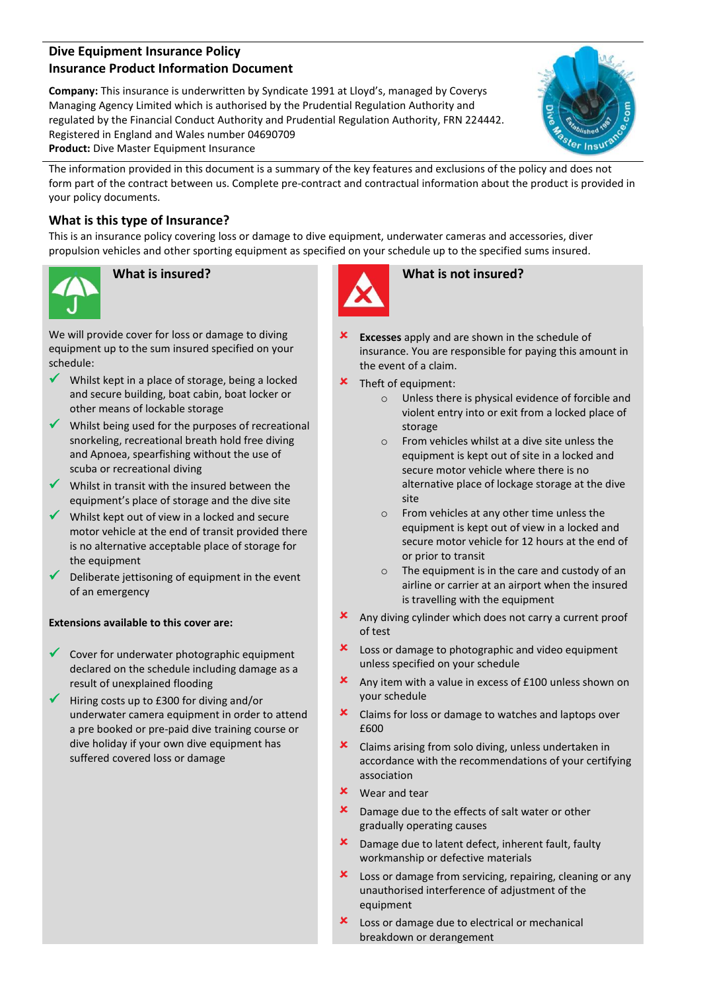# **Dive Equipment Insurance Policy Insurance Product Information Document**

**Company:** This insurance is underwritten by Syndicate 1991 at Lloyd's, managed by Coverys Managing Agency Limited which is authorised by the Prudential Regulation Authority and regulated by the Financial Conduct Authority and Prudential Regulation Authority, FRN 224442. Registered in England and Wales number 04690709 **Product:** Dive Master Equipment Insurance



The information provided in this document is a summary of the key features and exclusions of the policy and does not form part of the contract between us. Complete pre-contract and contractual information about the product is provided in your policy documents.

# **What is this type of Insurance?**

This is an insurance policy covering loss or damage to dive equipment, underwater cameras and accessories, diver propulsion vehicles and other sporting equipment as specified on your schedule up to the specified sums insured.



We will provide cover for loss or damage to diving equipment up to the sum insured specified on your schedule:

- $\checkmark$  Whilst kept in a place of storage, being a locked and secure building, boat cabin, boat locker or other means of lockable storage
- $\checkmark$  Whilst being used for the purposes of recreational snorkeling, recreational breath hold free diving and Apnoea, spearfishing without the use of scuba or recreational diving
- $\checkmark$  Whilst in transit with the insured between the equipment's place of storage and the dive site
- $\checkmark$  Whilst kept out of view in a locked and secure motor vehicle at the end of transit provided there is no alternative acceptable place of storage for the equipment
- $\triangledown$  Deliberate jettisoning of equipment in the event of an emergency

# **Extensions available to this cover are:**

- $\checkmark$  Cover for underwater photographic equipment declared on the schedule including damage as a result of unexplained flooding
- $\checkmark$  Hiring costs up to £300 for diving and/or underwater camera equipment in order to attend a pre booked or pre-paid dive training course or dive holiday if your own dive equipment has suffered covered loss or damage



# **What is insured? What is not insured?**

- **Excesses** apply and are shown in the schedule of insurance. You are responsible for paying this amount in the event of a claim.
- Theft of equipment:
	- o Unless there is physical evidence of forcible and violent entry into or exit from a locked place of storage
	- o From vehicles whilst at a dive site unless the equipment is kept out of site in a locked and secure motor vehicle where there is no alternative place of lockage storage at the dive site
	- o From vehicles at any other time unless the equipment is kept out of view in a locked and secure motor vehicle for 12 hours at the end of or prior to transit
	- o The equipment is in the care and custody of an airline or carrier at an airport when the insured is travelling with the equipment
- Any diving cylinder which does not carry a current proof of test
- Loss or damage to photographic and video equipment unless specified on your schedule
- Any item with a value in excess of £100 unless shown on your schedule
- **x** Claims for loss or damage to watches and laptops over £600
- **x** Claims arising from solo diving, unless undertaken in accordance with the recommendations of your certifying association
- Wear and tear
- **x** Damage due to the effects of salt water or other gradually operating causes
- Damage due to latent defect, inherent fault, faulty workmanship or defective materials
- **x** Loss or damage from servicing, repairing, cleaning or any unauthorised interference of adjustment of the equipment
- Loss or damage due to electrical or mechanical breakdown or derangement